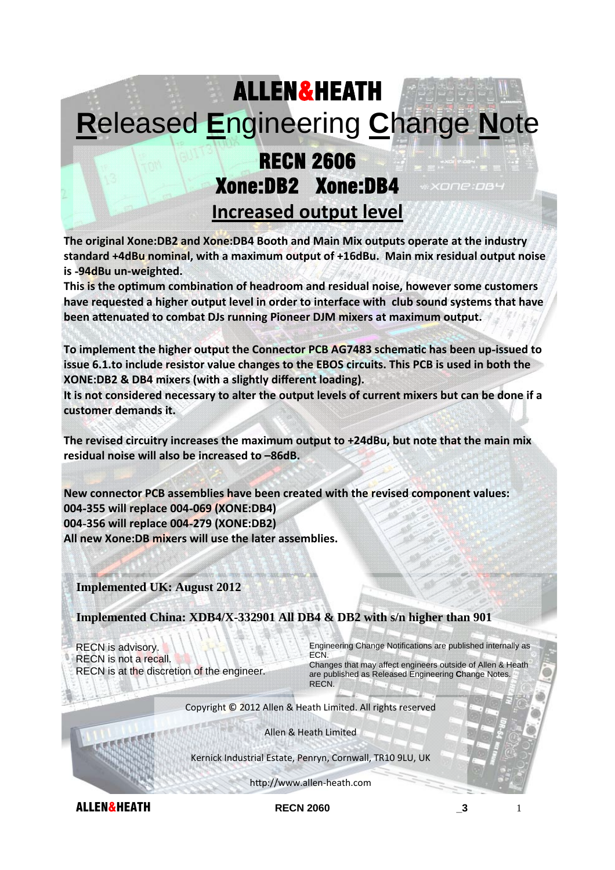## ALLEN&HEATH **R**eleased **E**ngineering **C**hange **N**ote

## RECN 2606 Xone:DB2 Xone:DB4 **Increased output level**

**The original Xone:DB2 and Xone:DB4 Booth and Main Mix outputs operate at the industry standard +4dBu nominal, with a maximum output of +16dBu. Main mix residual output noise is** ‐**94dBu un‐weighted.**

**This is the opƟmum combinaƟon of headroom and residual noise, however some customers have requested a higher output level in order to interface with club sound systems that have been aƩenuated to combat DJs running Pioneer DJM mixers at maximum output.**

**To implement the higher output the Connector PCB AG7483 schemaƟc has been up**‐**issued to issue 6.1.to include resistor value changes to the EBOS circuits. This PCB is used in both the XONE:DB2 & DB4 mixers (with a slightly different loading).**

It is not considered necessary to alter the output levels of current mixers but can be done if a **customer demands it.**

**The revised circuitry increases the maximum output to +24dBu, but note that the main mix residual noise will also be increased to –86dB.**

**New connector PCB assemblies have been created with the revised component values: 004**‐**355 will replace 004**‐**069 (XONE:DB4) 004**‐**356 will replace 004**‐**279 (XONE:DB2) All new Xone:DB mixers will use the later assemblies.**

**Implemented UK: August 2012** 

**Implemented China: XDB4/X-332901 All DB4 & DB2 with s/n higher than 901** 

RECN is advisory. RECN is not a recall. RECN is at the discretion of the engineer. Engineering Change Notifications are published internally as ECN.

xone:os

Changes that may affect engineers outside of Allen & Heath are published as Released Engineering **C**hange Notes. RECN.

Copyright © 2012 Allen & Heath Limited. All rights reserved

Allen & Heath Limited

Kernick Industrial Estate, Penryn, Cornwall, TR10 9LU, UK

http://www.allen-heath.com

ALLEN&HEATH **RECN 2060 \_3** 1